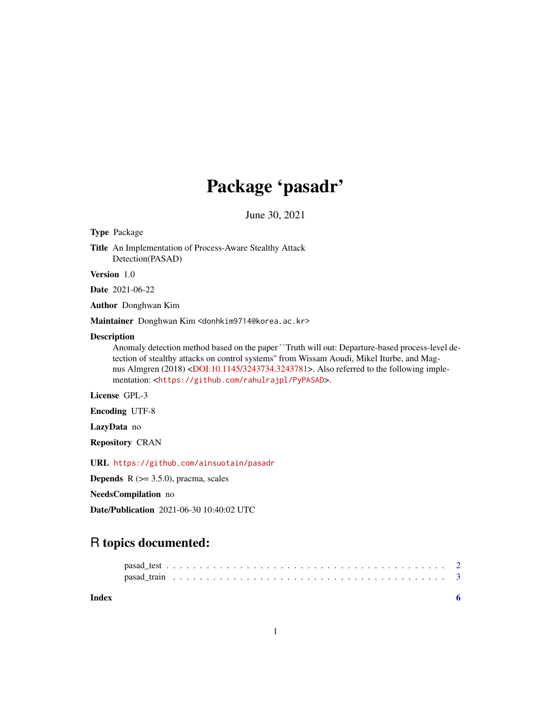# Package 'pasadr'

June 30, 2021

Type Package

Title An Implementation of Process-Aware Stealthy Attack Detection(PASAD)

Version 1.0

Date 2021-06-22

Author Donghwan Kim

Maintainer Donghwan Kim <donhkim9714@korea.ac.kr>

#### Description

Anomaly detection method based on the paper ``Truth will out: Departure-based process-level detection of stealthy attacks on control systems'' from Wissam Aoudi, Mikel Iturbe, and Magnus Almgren (2018) [<DOI:10.1145/3243734.3243781>](https://doi.org/10.1145/3243734.3243781). Also referred to the following implementation: <<https://github.com/rahulrajpl/PyPASAD>>.

License GPL-3

Encoding UTF-8

LazyData no

Repository CRAN

URL <https://github.com/ainsuotain/pasadr>

**Depends** R  $(>= 3.5.0)$ , pracma, scales

NeedsCompilation no

Date/Publication 2021-06-30 10:40:02 UTC

# R topics documented:

| Index |  |  |  |  |  |  |  |  |  |  |  |  |  |  |  |  |  |  |  |  |  |
|-------|--|--|--|--|--|--|--|--|--|--|--|--|--|--|--|--|--|--|--|--|--|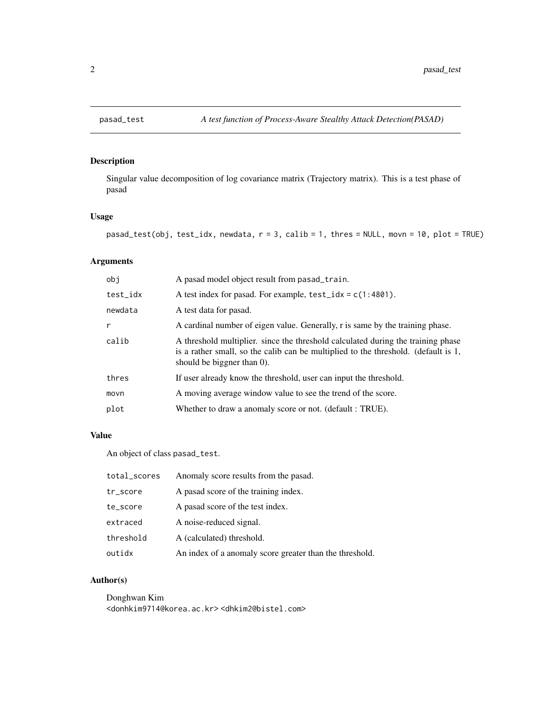<span id="page-1-1"></span><span id="page-1-0"></span>

# Description

Singular value decomposition of log covariance matrix (Trajectory matrix). This is a test phase of pasad

# Usage

```
pasad_test(obj, test_idx, newdata, r = 3, calib = 1, thres = NULL, movn = 10, plot = TRUE)
```
# Arguments

| obi      | A pasad model object result from pasad_train.                                                                                                                                                           |
|----------|---------------------------------------------------------------------------------------------------------------------------------------------------------------------------------------------------------|
| test_idx | A test index for pasad. For example, $test\_idx = c(1:4801)$ .                                                                                                                                          |
| newdata  | A test data for pasad.                                                                                                                                                                                  |
| r        | A cardinal number of eigen value. Generally, r is same by the training phase.                                                                                                                           |
| calib    | A threshold multiplier, since the threshold calculated during the training phase<br>is a rather small, so the calib can be multiplied to the threshold. (default is 1,<br>should be biggner than $0$ ). |
| thres    | If user already know the threshold, user can input the threshold.                                                                                                                                       |
| movn     | A moving average window value to see the trend of the score.                                                                                                                                            |
| plot     | Whether to draw a anomaly score or not. (default : TRUE).                                                                                                                                               |

# Value

An object of class pasad\_test.

| total_scores | Anomaly score results from the pasad.                   |
|--------------|---------------------------------------------------------|
| tr_score     | A pasad score of the training index.                    |
| te_score     | A pasad score of the test index.                        |
| extraced     | A noise-reduced signal.                                 |
| threshold    | A (calculated) threshold.                               |
| outidx       | An index of a anomaly score greater than the threshold. |

#### Author(s)

Donghwan Kim <donhkim9714@korea.ac.kr> <dhkim2@bistel.com>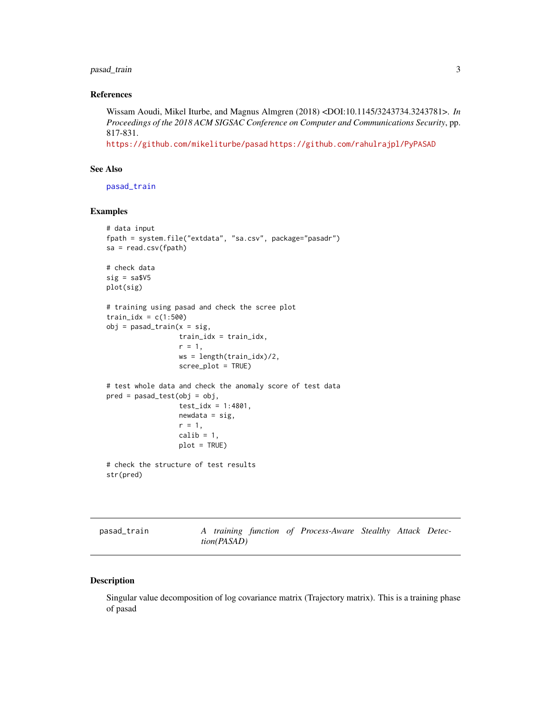# <span id="page-2-0"></span>pasad\_train 3

#### References

Wissam Aoudi, Mikel Iturbe, and Magnus Almgren (2018) <DOI:10.1145/3243734.3243781>. *In Proceedings of the 2018 ACM SIGSAC Conference on Computer and Communications Security*, pp. 817-831.

<https://github.com/mikeliturbe/pasad> <https://github.com/rahulrajpl/PyPASAD>

# See Also

[pasad\\_train](#page-2-1)

#### Examples

```
# data input
fpath = system.file("extdata", "sa.csv", package="pasadr")
sa = read.csv(fpath)
# check data
sig = sa$V5plot(sig)
# training using pasad and check the scree plot
train\_idx = c(1:500)obj = pasad_train(x = sig,train_idx = train_idx,
                  r = 1,
                  ws = length(train_idx)/2,
                  scree_plot = TRUE)
# test whole data and check the anomaly score of test data
pred = pasad_test(obj = obj,test\_idx = 1:4801,newdata = sig,r = 1,
                  calib = 1,
                  plot = TRUE)
# check the structure of test results
str(pred)
```
<span id="page-2-1"></span>pasad\_train *A training function of Process-Aware Stealthy Attack Detection(PASAD)*

#### Description

Singular value decomposition of log covariance matrix (Trajectory matrix). This is a training phase of pasad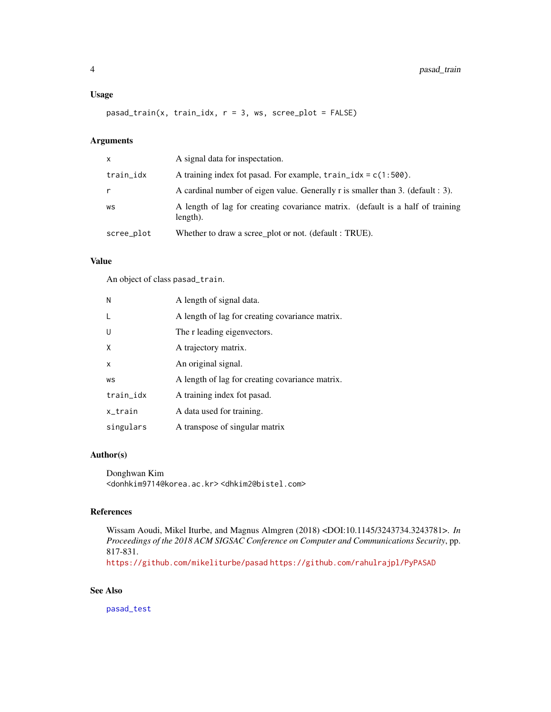#### <span id="page-3-0"></span>Usage

pasad\_train(x, train\_idx, r = 3, ws, scree\_plot = FALSE)

# Arguments

| $\mathsf{x}$ | A signal data for inspectation.                                                            |
|--------------|--------------------------------------------------------------------------------------------|
| train_idx    | A training index fot pasad. For example, $train\_idx = c(1:500)$ .                         |
| r            | A cardinal number of eigen value. Generally r is smaller than 3. (default : 3).            |
| WS           | A length of lag for creating covariance matrix. (default is a half of training<br>length). |
| scree_plot   | Whether to draw a scree_plot or not. (default : TRUE).                                     |

#### Value

An object of class pasad\_train.

| N         | A length of signal data.                        |
|-----------|-------------------------------------------------|
|           | A length of lag for creating covariance matrix. |
| U         | The r leading eigenvectors.                     |
| X         | A trajectory matrix.                            |
| X         | An original signal.                             |
| WS        | A length of lag for creating covariance matrix. |
| train_idx | A training index fot pasad.                     |
| x_train   | A data used for training.                       |
| singulars | A transpose of singular matrix                  |

# Author(s)

Donghwan Kim <donhkim9714@korea.ac.kr> <dhkim2@bistel.com>

#### References

Wissam Aoudi, Mikel Iturbe, and Magnus Almgren (2018) <DOI:10.1145/3243734.3243781>. *In Proceedings of the 2018 ACM SIGSAC Conference on Computer and Communications Security*, pp. 817-831.

<https://github.com/mikeliturbe/pasad> <https://github.com/rahulrajpl/PyPASAD>

# See Also

[pasad\\_test](#page-1-1)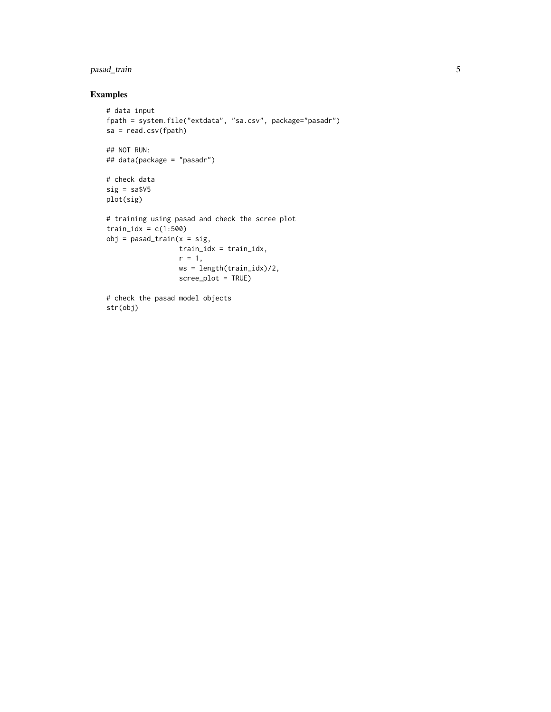# pasad\_train 5

# Examples

```
# data input
fpath = system.file("extdata", "sa.csv", package="pasadr")
sa = read.csv(fpath)
## NOT RUN:
## data(package = "pasadr")
# check data
sig = sa$V5plot(sig)
# training using pasad and check the scree plot
train\_idx = c(1:500)obj = pasad_train(x = sig,train_idx = train_idx,
                 r = 1,
                  ws = length(train_idx)/2,
                  scree_plot = TRUE)
# check the pasad model objects
str(obj)
```